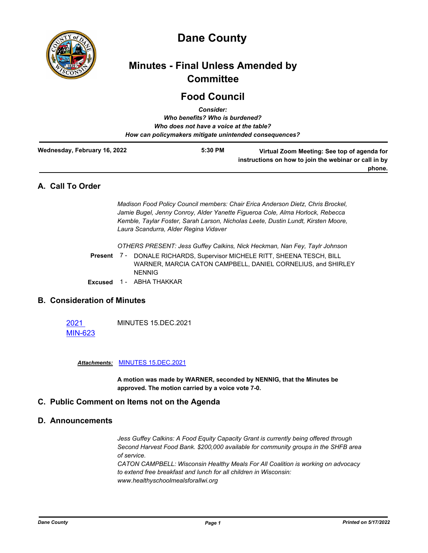

# **Dane County**

# **Minutes - Final Unless Amended by Committee**

# **Food Council** *Consider:*

|                              | GUISIUT.                                |                                                                                                      |
|------------------------------|-----------------------------------------|------------------------------------------------------------------------------------------------------|
|                              | Who benefits? Who is burdened?          |                                                                                                      |
|                              | Who does not have a voice at the table? |                                                                                                      |
|                              |                                         | How can policymakers mitigate unintended consequences?                                               |
| Wednesday, February 16, 2022 | 5:30 PM                                 | Virtual Zoom Meeting: See top of agenda for<br>instructions on how to join the webinar or call in by |
|                              |                                         | phone.                                                                                               |

# **A. Call To Order**

*Madison Food Policy Council members: Chair Erica Anderson Dietz, Chris Brockel, Jamie Bugel, Jenny Conroy, Alder Yanette Figueroa Cole, Alma Horlock, Rebecca Kemble, Taylar Foster, Sarah Larson, Nicholas Leete, Dustin Lundt, Kirsten Moore, Laura Scandurra, Alder Regina Vidaver*

*OTHERS PRESENT: Jess Guffey Calkins, Nick Heckman, Nan Fey, Taylr Johnson*

Present 7 - DONALE RICHARDS, Supervisor MICHELE RITT, SHEENA TESCH, BILL WARNER, MARCIA CATON CAMPBELL, DANIEL CORNELIUS, and SHIRLEY NENNIG

**Excused** 1 - ABHA THAKKAR

# **B. Consideration of Minutes**

2021 [MIN-623](http://dane.legistar.com/gateway.aspx?m=l&id=/matter.aspx?key=22251) MINUTES 15.DEC.2021

*Attachments:* [MINUTES 15.DEC.2021](http://dane.legistar.com/gateway.aspx?M=F&ID=d948ce6f-8f5b-4013-9b8a-bed8d8d9a7bf.pdf)

**A motion was made by WARNER, seconded by NENNIG, that the Minutes be approved. The motion carried by a voice vote 7-0.**

# **C. Public Comment on Items not on the Agenda**

#### **D. Announcements**

*Jess Guffey Calkins: A Food Equity Capacity Grant is currently being offered through Second Harvest Food Bank. \$200,000 available for community groups in the SHFB area of service.*

*CATON CAMPBELL: Wisconsin Healthy Meals For All Coalition is working on advocacy to extend free breakfast and lunch for all children in Wisconsin: www.healthyschoolmealsforallwi.org*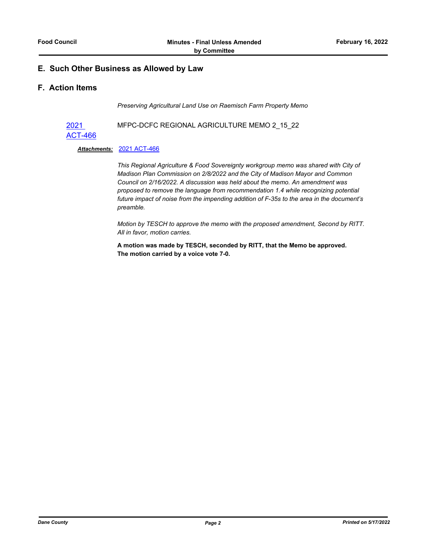# **E. Such Other Business as Allowed by Law**

## **F. Action Items**

*Preserving Agricultural Land Use on Raemisch Farm Property Memo*

2021 [ACT-466](http://dane.legistar.com/gateway.aspx?m=l&id=/matter.aspx?key=22277) MFPC-DCFC REGIONAL AGRICULTURE MEMO 2\_15\_22

#### *Attachments:* [2021 ACT-466](http://dane.legistar.com/gateway.aspx?M=F&ID=bff217f7-97ba-4b11-8d7b-e46973ae23a5.pdf)

*This Regional Agriculture & Food Sovereignty workgroup memo was shared with City of Madison Plan Commission on 2/8/2022 and the City of Madison Mayor and Common Council on 2/16/2022. A discussion was held about the memo. An amendment was proposed to remove the language from recommendation 1.4 while recognizing potential future impact of noise from the impending addition of F-35s to the area in the document's preamble.*

*Motion by TESCH to approve the memo with the proposed amendment, Second by RITT. All in favor, motion carries.*

**A motion was made by TESCH, seconded by RITT, that the Memo be approved. The motion carried by a voice vote 7-0.**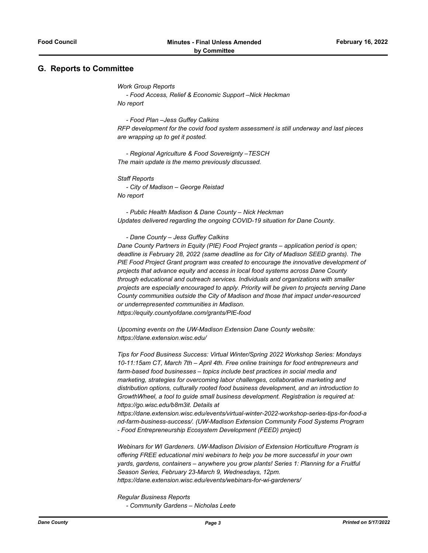#### **G. Reports to Committee**

*Work Group Reports*

 *- Food Access, Relief & Economic Support –Nick Heckman No report*

 *- Food Plan –Jess Guffey Calkins RFP development for the covid food system assessment is still underway and last pieces are wrapping up to get it posted.* 

 *- Regional Agriculture & Food Sovereignty –TESCH The main update is the memo previously discussed.* 

*Staff Reports - City of Madison – George Reistad No report*

 *- Public Health Madison & Dane County – Nick Heckman Updates delivered regarding the ongoing COVID-19 situation for Dane County.*

 *- Dane County – Jess Guffey Calkins*

*Dane County Partners in Equity (PIE) Food Project grants – application period is open; deadline is February 28, 2022 (same deadline as for City of Madison SEED grants). The PIE Food Project Grant program was created to encourage the innovative development of projects that advance equity and access in local food systems across Dane County through educational and outreach services. Individuals and organizations with smaller projects are especially encouraged to apply. Priority will be given to projects serving Dane County communities outside the City of Madison and those that impact under-resourced or underrepresented communities in Madison. https://equity.countyofdane.com/grants/PIE-food* 

*Upcoming events on the UW-Madison Extension Dane County website: https://dane.extension.wisc.edu/* 

*Tips for Food Business Success: Virtual Winter/Spring 2022 Workshop Series: Mondays 10-11:15am CT, March 7th – April 4th. Free online trainings for food entrepreneurs and farm-based food businesses – topics include best practices in social media and marketing, strategies for overcoming labor challenges, collaborative marketing and distribution options, culturally rooted food business development, and an introduction to GrowthWheel, a tool to guide small business development. Registration is required at: https://go.wisc.edu/b8m3it. Details at* 

*https://dane.extension.wisc.edu/events/virtual-winter-2022-workshop-series-tips-for-food-a nd-farm-business-success/. (UW-Madison Extension Community Food Systems Program - Food Entrepreneurship Ecosystem Development (FEED) project)* 

*Webinars for WI Gardeners. UW-Madison Division of Extension Horticulture Program is offering FREE educational mini webinars to help you be more successful in your own yards, gardens, containers – anywhere you grow plants! Series 1: Planning for a Fruitful Season Series, February 23-March 9, Wednesdays, 12pm. https://dane.extension.wisc.edu/events/webinars-for-wi-gardeners/* 

*Regular Business Reports - Community Gardens – Nicholas Leete*